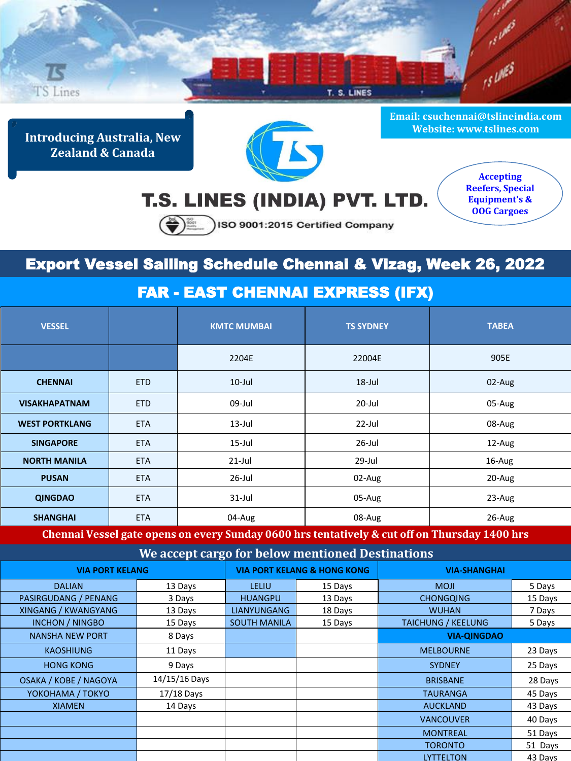

**Introducing Australia, New Zealand & Canada**



**Email: csuchennai@tslineindia.com Website: www.tslines.com**

## T.S. LINES (INDIA) PVT. LTD.

**Accepting Reefers, Special Equipment's & OOG Cargoes**

SO 9001:2015 Certified Company

## Export Vessel Sailing Schedule Chennai & Vizag, Week 26, 2022

## FAR - EAST CHENNAI EXPRESS (IFX)

| <b>VESSEL</b>         |            | <b>KMTC MUMBAI</b> | <b>TS SYDNEY</b> | <b>TABEA</b> |
|-----------------------|------------|--------------------|------------------|--------------|
|                       |            | 2204E              | 22004E           | 905E         |
| <b>CHENNAI</b>        | <b>ETD</b> | $10$ -Jul          | $18$ -Jul        | 02-Aug       |
| <b>VISAKHAPATNAM</b>  | <b>ETD</b> | 09-Jul             | $20$ -Jul        | 05-Aug       |
| <b>WEST PORTKLANG</b> | <b>ETA</b> | $13$ -Jul          | 22-Jul           | 08-Aug       |
| <b>SINGAPORE</b>      | <b>ETA</b> | $15$ -Jul          | $26$ -Jul        | 12-Aug       |
| <b>NORTH MANILA</b>   | <b>ETA</b> | $21$ -Jul          | 29-Jul           | 16-Aug       |
| <b>PUSAN</b>          | <b>ETA</b> | 26-Jul             | 02-Aug           | 20-Aug       |
| <b>QINGDAO</b>        | <b>ETA</b> | $31$ -Jul          | 05-Aug           | 23-Aug       |
| <b>SHANGHAI</b>       | <b>ETA</b> | 04-Aug             | 08-Aug           | 26-Aug       |

**Chennai Vessel gate opens on every Sunday 0600 hrs tentatively & cut off on Thursday 1400 hrs** 

**We accept cargo for below mentioned Destinations**

| <b>VIA PORT KELANG</b>       |               | <b>VIA PORT KELANG &amp; HONG KONG</b> |         | <b>VIA-SHANGHAI</b>       |         |
|------------------------------|---------------|----------------------------------------|---------|---------------------------|---------|
| <b>DALIAN</b>                | 13 Days       | LELIU                                  | 15 Days | <b>MOJI</b>               | 5 Days  |
| PASIRGUDANG / PENANG         | 3 Days        | <b>HUANGPU</b>                         | 13 Days | <b>CHONGQING</b>          | 15 Days |
| XINGANG / KWANGYANG          | 13 Days       | <b>LIANYUNGANG</b>                     | 18 Days | <b>WUHAN</b>              | 7 Days  |
| <b>INCHON / NINGBO</b>       | 15 Days       | <b>SOUTH MANILA</b>                    | 15 Days | <b>TAICHUNG / KEELUNG</b> | 5 Days  |
| <b>NANSHA NEW PORT</b>       | 8 Days        |                                        |         | <b>VIA-QINGDAO</b>        |         |
| <b>KAOSHIUNG</b>             | 11 Days       |                                        |         | <b>MELBOURNE</b>          | 23 Days |
| <b>HONG KONG</b>             | 9 Days        |                                        |         | <b>SYDNEY</b>             | 25 Days |
| <b>OSAKA / KOBE / NAGOYA</b> | 14/15/16 Days |                                        |         | <b>BRISBANE</b>           | 28 Days |
| YOKOHAMA / TOKYO             | 17/18 Days    |                                        |         | <b>TAURANGA</b>           | 45 Days |
| <b>XIAMEN</b>                | 14 Days       |                                        |         | <b>AUCKLAND</b>           | 43 Days |
|                              |               |                                        |         | <b>VANCOUVER</b>          | 40 Days |
|                              |               |                                        |         | <b>MONTREAL</b>           | 51 Days |
|                              |               |                                        |         | <b>TORONTO</b>            | 51 Days |
|                              |               |                                        |         | <b>LYTTELTON</b>          | 43 Days |